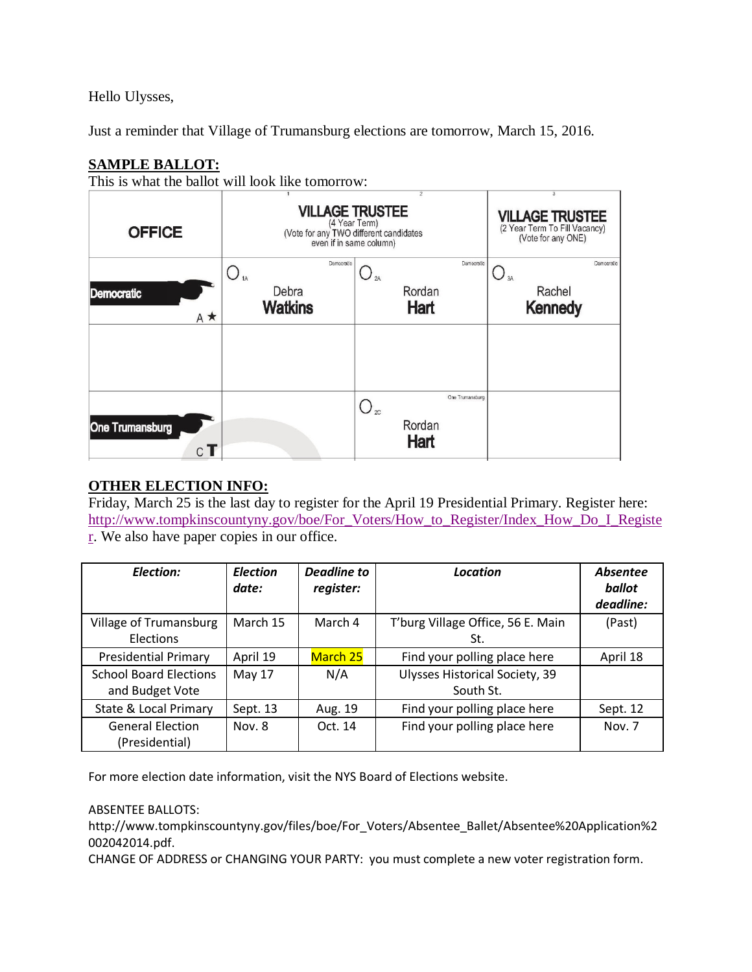Hello Ulysses,

Just a reminder that Village of Trumansburg elections are tomorrow, March 15, 2016.

## **SAMPLE BALLOT:**

This is what the ballot will look like tomorrow:

| <b>OFFICE</b>               | <b>VILLAGE TRUSTEE</b><br>(4 Year Term)<br>(Vote for any TWO different candidates<br>even if in same column) | 3<br><b>VILLAGE TRUSTEE</b><br>(2 Year Term To Fill Vacancy)<br>(Vote for any ONE) |                                              |
|-----------------------------|--------------------------------------------------------------------------------------------------------------|------------------------------------------------------------------------------------|----------------------------------------------|
| Democratic<br>$A \star$     | Democratic<br>$\frac{1}{4}$<br>Debra<br><b>Watkins</b>                                                       | Democratic<br>2A<br>Rordan<br>Hart                                                 | Democratic<br>3A<br>Rachel<br><b>Kennedy</b> |
|                             |                                                                                                              |                                                                                    |                                              |
| <b>One Trumansburg</b><br>С |                                                                                                              | One Trumansburg<br>$\bigcirc_{\infty}$<br>Rordan<br>Hart                           |                                              |

## **OTHER ELECTION INFO:**

Friday, March 25 is the last day to register for the April 19 Presidential Primary. Register here: [http://www.tompkinscountyny.gov/boe/For\\_Voters/How\\_to\\_Register/Index\\_How\\_Do\\_I\\_Registe](http://www.tompkinscountyny.gov/boe/For_Voters/How_to_Register/Index_How_Do_I_Register) [r.](http://www.tompkinscountyny.gov/boe/For_Voters/How_to_Register/Index_How_Do_I_Register) We also have paper copies in our office.

| <b>Election:</b>                                 | <b>Election</b><br>date: | <b>Deadline to</b><br>register: | Location                                    | <b>Absentee</b><br>ballot<br>deadline: |
|--------------------------------------------------|--------------------------|---------------------------------|---------------------------------------------|----------------------------------------|
| Village of Trumansburg<br>Elections              | March 15                 | March 4                         | T'burg Village Office, 56 E. Main<br>St.    | (Past)                                 |
| <b>Presidential Primary</b>                      | April 19                 | <b>March 25</b>                 | Find your polling place here                | April 18                               |
| <b>School Board Elections</b><br>and Budget Vote | May 17                   | N/A                             | Ulysses Historical Society, 39<br>South St. |                                        |
| <b>State &amp; Local Primary</b>                 | Sept. 13                 | Aug. 19                         | Find your polling place here                | Sept. 12                               |
| <b>General Election</b><br>(Presidential)        | Nov. 8                   | Oct. 14                         | Find your polling place here                | Nov. 7                                 |

For more election date information, visit the NYS Board of Elections website.

## ABSENTEE BALLOTS:

http://www.tompkinscountyny.gov/files/boe/For\_Voters/Absentee\_Ballet/Absentee%20Application%2 002042014.pdf.

CHANGE OF ADDRESS or CHANGING YOUR PARTY: you must complete a new voter registration form.